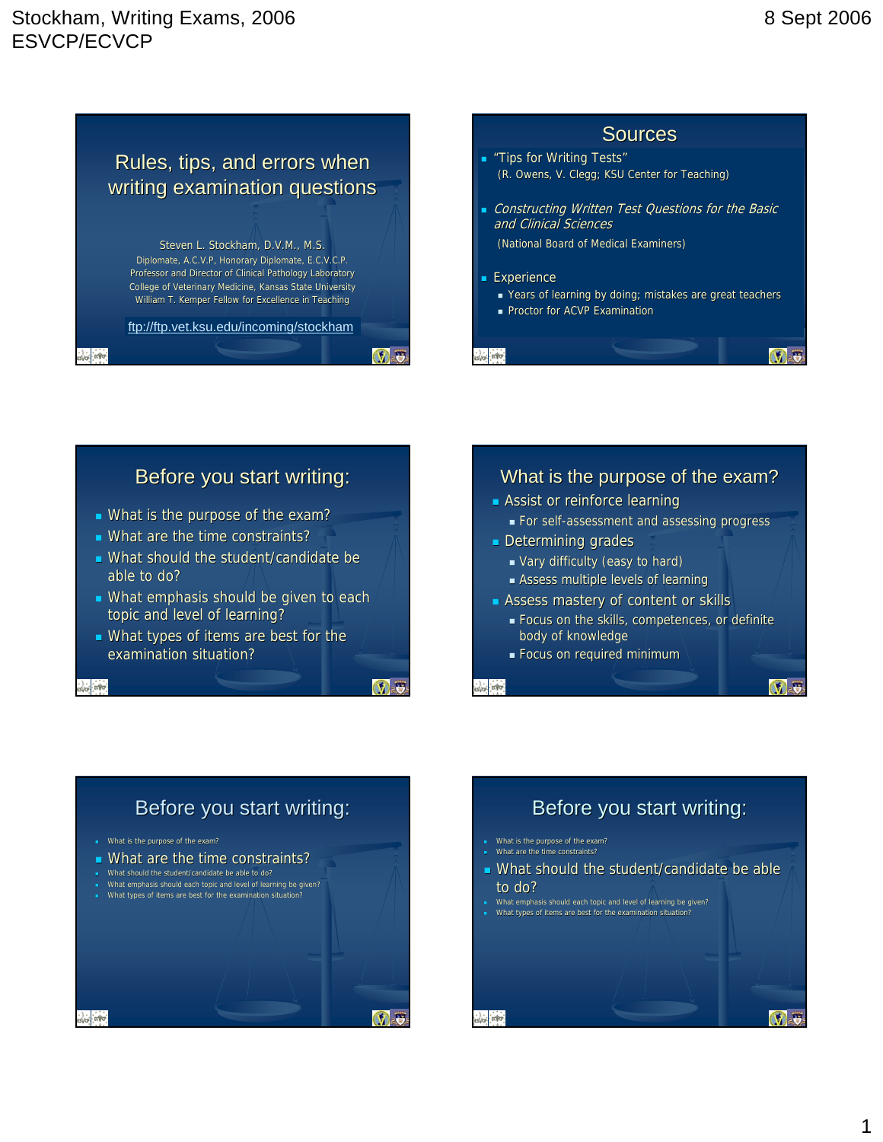## Stockham, Writing Exams, 2006 ESVCP/ECVCP



Professor and Director of Clinical Pathology Laboratory College of Veterinary Medicine, Kansas State University William T. Kemper Fellow for Excellence in Teaching

ftp://ftp.vet.ksu.edu/incoming/stockham

**Sources Tips for Writing Tests"** (R. Owens, V. Clegg; KSU Center for Teaching) Constructing Written Test Questions for the Basic and Clinical Sciences (National Board of Medical Examiners) **Experience** Years of learning by doing; mistakes are great teachers **Proctor for ACVP Examination** 

### Before you start writing:

- What is the purpose of the exam?
- What are the time constraints?
- What should the student/candidate be able to do?
- What emphasis should be given to each topic and level of learning?
- What types of items are best for the examination situation?

ESVO EXVO

esvo Etvo

 $V - 5$ 

V<sub>5</sub>

# What is the purpose of the exam?

- **Assist or reinforce learning**
- For self For self-assessment and assessing progress
- **Determining grades** 
	- Vary difficulty (easy to hard)
	- **Assess multiple levels of learning**
- Assess mastery of content or skills
	- **Focus on the skills, competences, or definite** body of knowledge
	- **Focus on required minimum**

svo- ervo-

**Altri** Enfor-





 What emphasis should each topic and level of learning be given? What types of items are best for the examination situation

o Evo.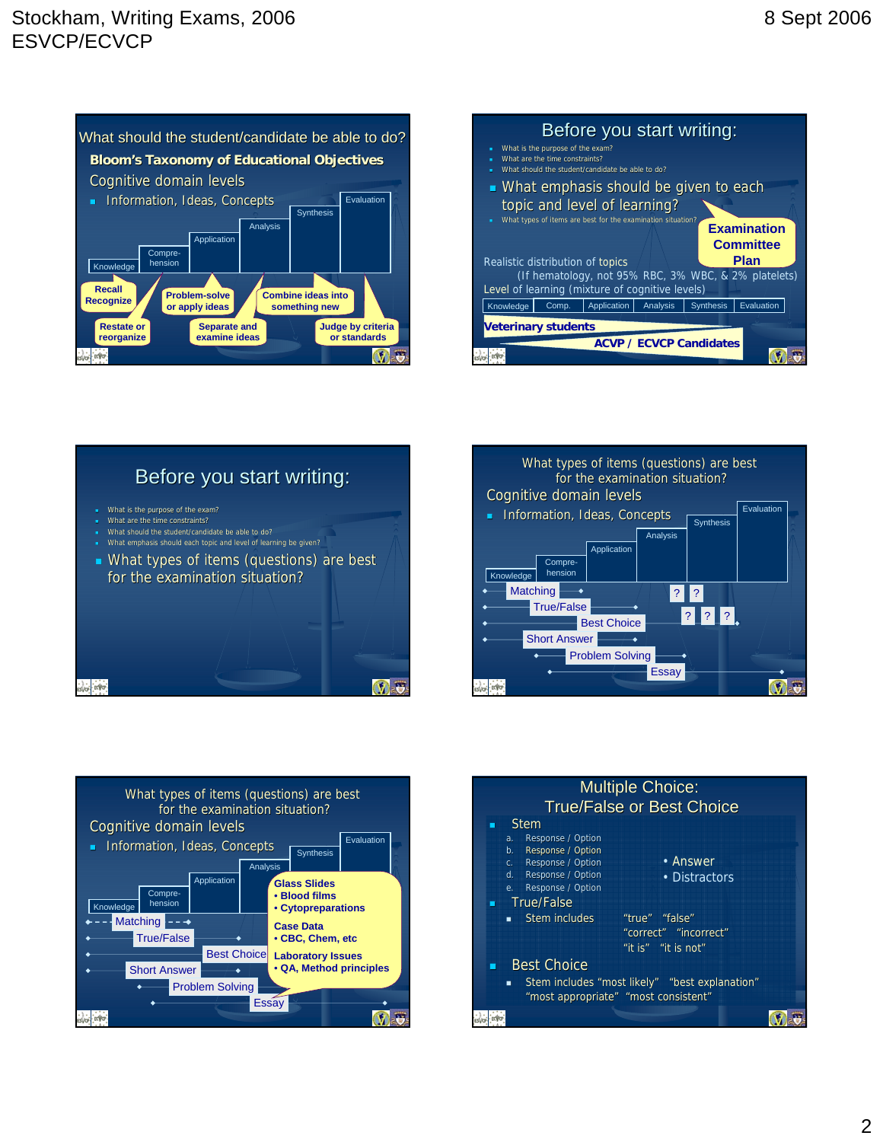









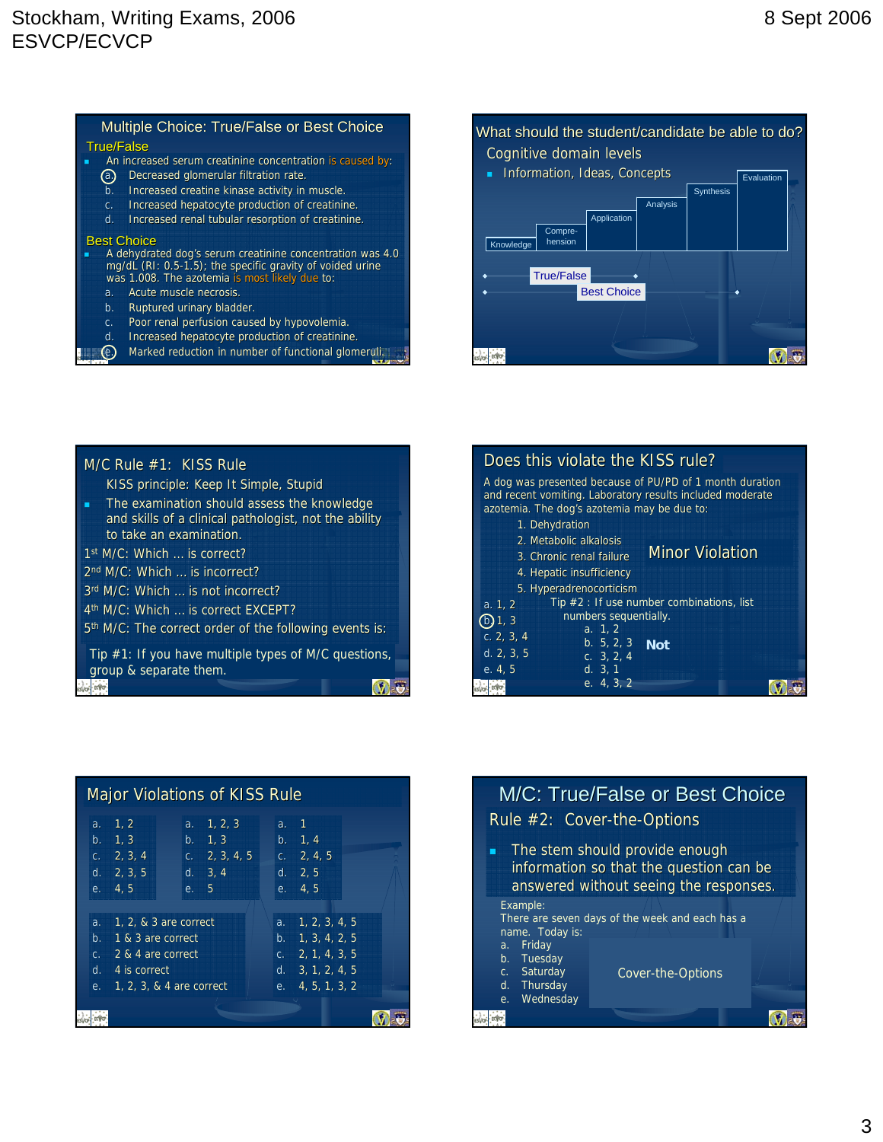#### Multiple Choice: True/False or Best Choice **An increased serum creatinine concentration is caused by: a.** Decreased glomerular filtration rate. b. Increased creatine kinase activity in muscle. c. Increased hepatocyte production of creatinine. d. Increased renal tubular resorption of creatinine. True/False Best Choice

#### **A dehydrated dog's serum creatinine concentration was 4.0** mg/dL (RI: 0.5-1.5); the specific gravity of voided urine was 1.008. The azotemia is most likely due to:

- a. Acute muscle necrosis.
- b. Ruptured urinary bladder.
- c. Poor renal perfusion caused by hypovolemia.
- d. Increased hepatocyte production of creatinine.
- $\epsilon$ . Marked reduction in number of functional glomeruli.

#### What should the student/candidate be able to do? Cognitive domain levels **Information, Ideas, Concepts** Evaluation Synthesis Analysis **Application** Compre-<br>hension **Knowledge** True/False Best Choice ks. EVE **V** a

| M/C Rule #1: KISS Rule                                                                                                                                                                                                                                     | D                          |
|------------------------------------------------------------------------------------------------------------------------------------------------------------------------------------------------------------------------------------------------------------|----------------------------|
| KISS principle: Keep It Simple, Stupid<br>The examination should assess the knowledge<br>Ë<br>and skills of a clinical pathologist, not the ability<br>to take an examination.<br>1st M/C: Which  is correct?<br>2 <sup>nd</sup> M/C: Which  is incorrect? | A <sub>1</sub><br>an<br>az |
| 3rd M/C: Which  is not incorrect?                                                                                                                                                                                                                          | a.                         |
| 4 <sup>th</sup> M/C: Which  is correct EXCEPT?                                                                                                                                                                                                             | $^\copyright$              |
| 5 <sup>th</sup> M/C: The correct order of the following events is:                                                                                                                                                                                         | C.                         |
| Tip #1: If you have multiple types of M/C questions,                                                                                                                                                                                                       | d.                         |
| group & separate them.                                                                                                                                                                                                                                     | е.                         |

|            | Does this violate the KISS rule?            |                                                                                                                       |  |
|------------|---------------------------------------------|-----------------------------------------------------------------------------------------------------------------------|--|
|            | azotemia. The dog's azotemia may be due to: | A dog was presented because of PU/PD of 1 month duration<br>and recent vomiting. Laboratory results included moderate |  |
|            | 1. Dehydration                              |                                                                                                                       |  |
|            | 2. Metabolic alkalosis                      |                                                                                                                       |  |
|            | 3. Chronic renal failure                    | <b>Minor Violation</b>                                                                                                |  |
|            | 4. Hepatic insufficiency                    |                                                                                                                       |  |
|            | 5. Hyperadrenocorticism                     |                                                                                                                       |  |
| a. 1, 2    |                                             | Tip $#2:$ If use number combinations, list                                                                            |  |
| (b)1,3     | numbers sequentially.                       |                                                                                                                       |  |
| c. 2, 3, 4 | a. 1, 2                                     |                                                                                                                       |  |
| d. 2, 3, 5 | b. 5, 2, 3                                  | <b>Not</b>                                                                                                            |  |
|            | c. $3, 2, 4$                                |                                                                                                                       |  |
| e. 4, 5    | d. 3, 1                                     |                                                                                                                       |  |
|            | e. 4.3.2                                    |                                                                                                                       |  |

| Major Violations of KISS Rule                                                                                                    |                                                            | M/C: True/False or Best Choice                                                                                                                         |
|----------------------------------------------------------------------------------------------------------------------------------|------------------------------------------------------------|--------------------------------------------------------------------------------------------------------------------------------------------------------|
| a. 1, 2, 3<br>a. 1, 2<br>b. $1, 3$<br>b. 1, 3<br>c. $2, 3, 4, 5$<br>C. $2, 3, 4$<br>d. $2, 3, 5$<br>d. 3, 4<br>e. 5<br>e. $4, 5$ | a. 1<br>b. 1, 4<br>c. $2, 4, 5$<br>d. 2, 5<br>e. $4, 5$    | Rule #2: Cover-the-Options<br>The stem should provide enough<br>п<br>information so that the question can be<br>answered without seeing the responses. |
| a. 1, 2, & 3 are correct<br>1 & 3 are correct<br>b.                                                                              | a. $1, 2, 3, 4, 5$<br>b. $1, 3, 4, 2, 5$                   | Example:<br>There are seven days of the week and each has a<br>name. Today is:                                                                         |
| c. $2 & 4$ are correct<br>4 is correct<br>d.<br>e. 1, 2, 3, & 4 are correct                                                      | c. 2, 1, 4, 3, 5<br>d. $3, 1, 2, 4, 5$<br>e. 4, 5, 1, 3, 2 | a. Friday<br>b. Tuesday<br>c. Saturday<br>Cover-the-Options<br>d. Thursday                                                                             |
|                                                                                                                                  |                                                            | Wednesday<br>e.<br><b>V</b>                                                                                                                            |

|                                                                             | M/C: True/False or Best Choice<br>Rule #2: Cover-the-Options                                                        |  |
|-----------------------------------------------------------------------------|---------------------------------------------------------------------------------------------------------------------|--|
|                                                                             | The stem should provide enough<br>information so that the question can be<br>answered without seeing the responses. |  |
| Example:<br>name. Today is:                                                 | There are seven days of the week and each has a                                                                     |  |
| Friday<br>a.<br>b. Tuesday<br>c. Saturday<br>d. Thursday<br>Wednesday<br>e. | Cover-the-Options                                                                                                   |  |
|                                                                             |                                                                                                                     |  |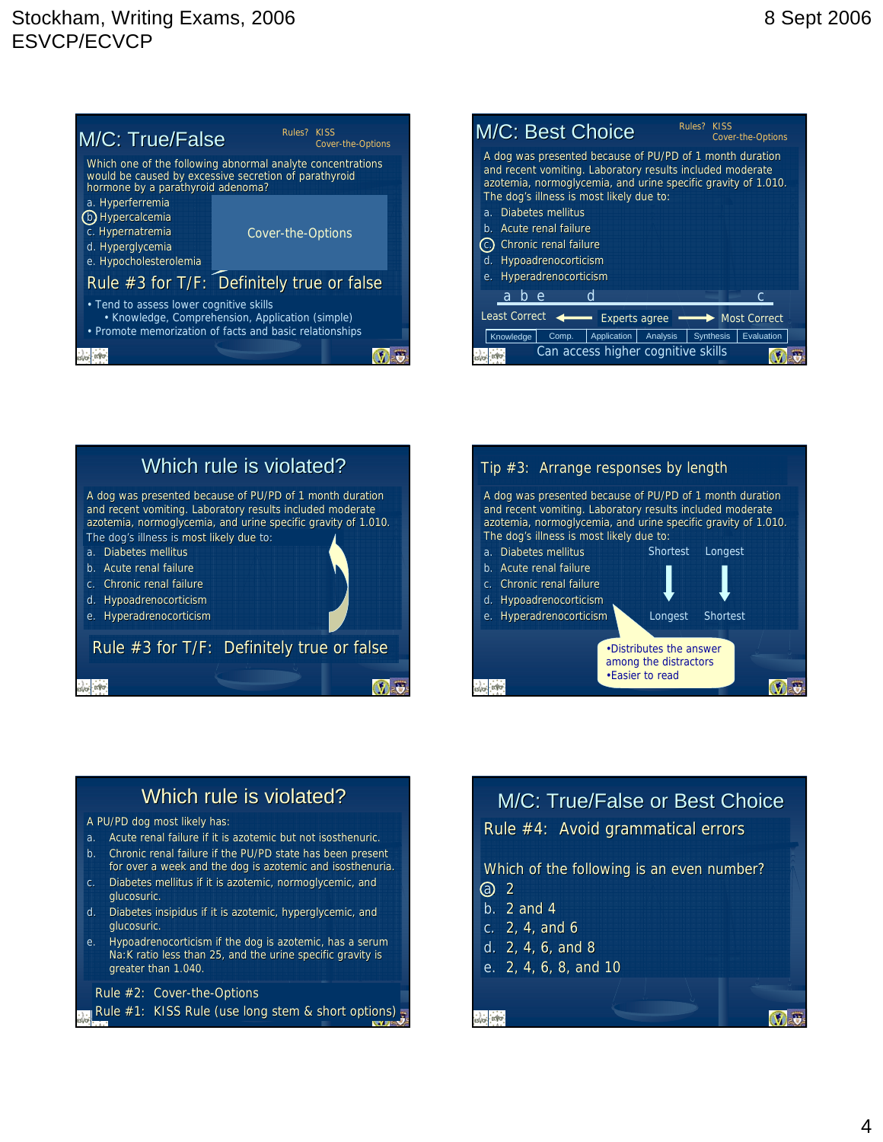## Stockham, Writing Exams, 2006 ESVCP/ECVCP









## Which rule is violated?

#### A PU/PD dog most likely has:

- a. Acute renal failure if it is azotemic but not isosthenuric.
- b. Chronic renal failure if the PU/PD state has been present for over a week and the dog is azotemic and isosthenuria.
- c. Diabetes mellitus if it is azotemic, normoglycemic, and glucosuric.
- d. Diabetes insipidus if it is azotemic, hyperglycemic, and glucosuric.
- e. Hypoadrenocorticism if the dog is azotemic, has a serum Na:K ratio less than 25, and the urine specific gravity is greater than 1.040.

Rule  $#2$ : Cover-the-Options

Rule #1: KISS Rule (use long stem & short options)

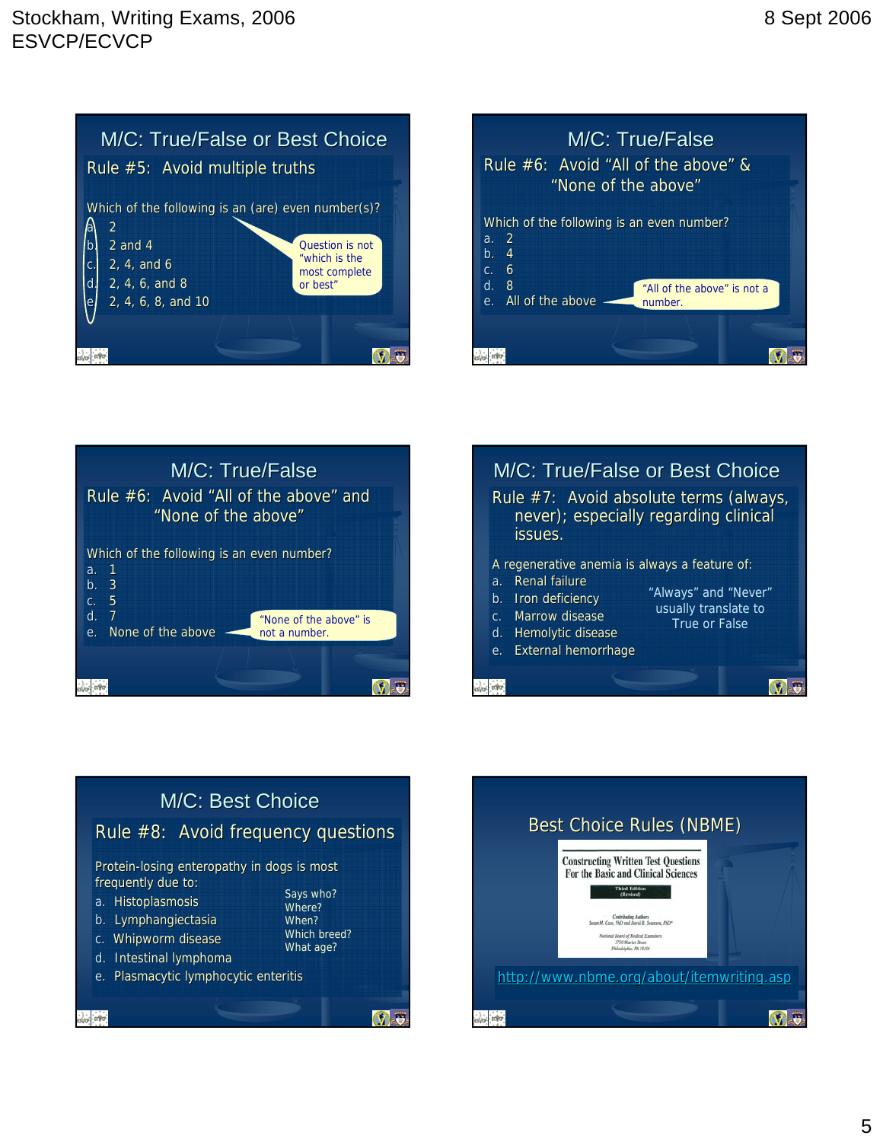









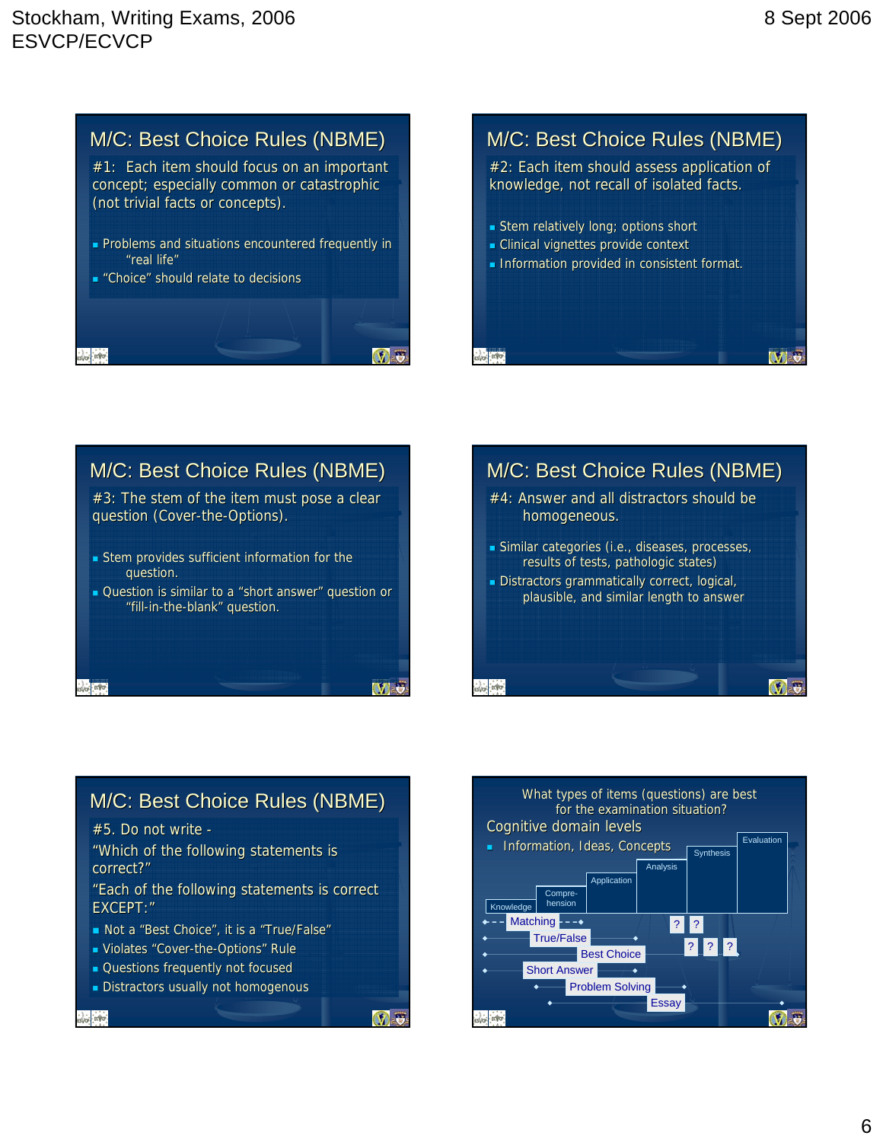$\mathbf{W}$  5



# M/C: Best Choice Rules (NBME)

 $#2$ : Each item should assess application of knowledge, not recall of isolated facts.

- Stem relatively long; options short
- Clinical vignettes provide context
- Information provided in consistent format.





#### M/C: Best Choice Rules (NBME)  $#5.$  Do not write -"Which of the following statements is correct?" "Each of the following statements is correct EXCEPT·" Not a "Best Choice", it is a "True/False" **Violates "Cover-the-Options" Rule Questions frequently not focused Distractors usually not homogenous**  $V$  a into: